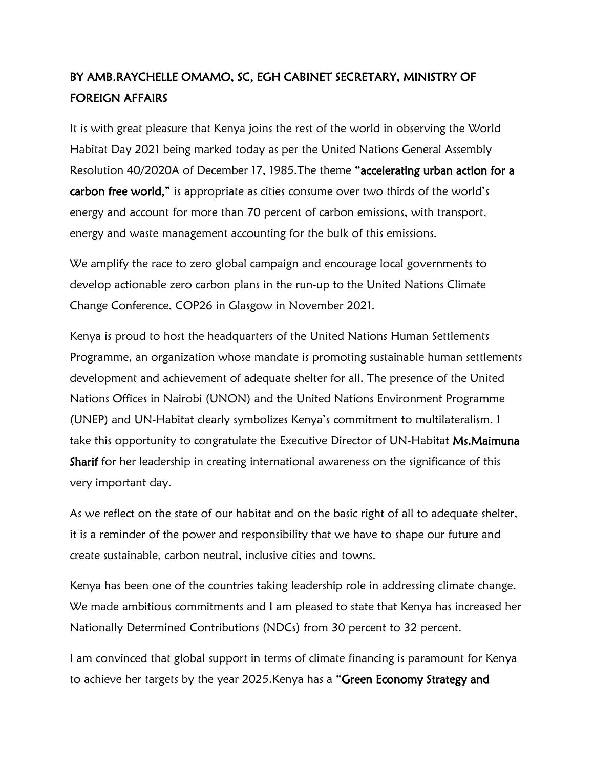## BY AMB.RAYCHELLE OMAMO, SC, EGH CABINET SECRETARY, MINISTRY OF FOREIGN AFFAIRS

It is with great pleasure that Kenya joins the rest of the world in observing the World Habitat Day 2021 being marked today as per the United Nations General Assembly Resolution 40/2020A of December 17, 1985.The theme "accelerating urban action for a carbon free world," is appropriate as cities consume over two thirds of the world's energy and account for more than 70 percent of carbon emissions, with transport, energy and waste management accounting for the bulk of this emissions.

We amplify the race to zero global campaign and encourage local governments to develop actionable zero carbon plans in the run-up to the United Nations Climate Change Conference, COP26 in Glasgow in November 2021.

Kenya is proud to host the headquarters of the United Nations Human Settlements Programme, an organization whose mandate is promoting sustainable human settlements development and achievement of adequate shelter for all. The presence of the United Nations Offices in Nairobi (UNON) and the United Nations Environment Programme (UNEP) and UN-Habitat clearly symbolizes Kenya's commitment to multilateralism. I take this opportunity to congratulate the Executive Director of UN-Habitat Ms. Maimuna Sharif for her leadership in creating international awareness on the significance of this very important day.

As we reflect on the state of our habitat and on the basic right of all to adequate shelter, it is a reminder of the power and responsibility that we have to shape our future and create sustainable, carbon neutral, inclusive cities and towns.

Kenya has been one of the countries taking leadership role in addressing climate change. We made ambitious commitments and I am pleased to state that Kenya has increased her Nationally Determined Contributions (NDCs) from 30 percent to 32 percent.

I am convinced that global support in terms of climate financing is paramount for Kenya to achieve her targets by the year 2025. Kenya has a "Green Economy Strategy and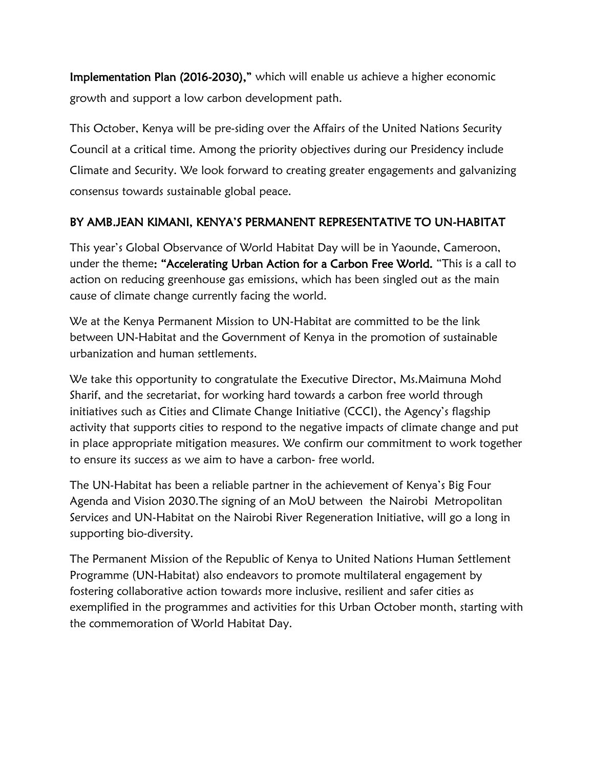Implementation Plan (2016-2030)," which will enable us achieve a higher economic growth and support a low carbon development path.

This October, Kenya will be pre-siding over the Affairs of the United Nations Security Council at a critical time. Among the priority objectives during our Presidency include Climate and Security. We look forward to creating greater engagements and galvanizing consensus towards sustainable global peace.

## BY AMB.JEAN KIMANI, KENYA'S PERMANENT REPRESENTATIVE TO UN-HABITAT

This year's Global Observance of World Habitat Day will be in Yaounde, Cameroon, under the theme: "Accelerating Urban Action for a Carbon Free World. "This is a call to action on reducing greenhouse gas emissions, which has been singled out as the main cause of climate change currently facing the world.

We at the Kenya Permanent Mission to UN-Habitat are committed to be the link between UN-Habitat and the Government of Kenya in the promotion of sustainable urbanization and human settlements.

We take this opportunity to congratulate the Executive Director, Ms. Maimuna Mohd Sharif, and the secretariat, for working hard towards a carbon free world through initiatives such as Cities and Climate Change Initiative (CCCI), the Agency's flagship activity that supports cities to respond to the negative impacts of climate change and put in place appropriate mitigation measures. We confirm our commitment to work together to ensure its success as we aim to have a carbon- free world.

The UN-Habitat has been a reliable partner in the achievement of Kenya's Big Four Agenda and Vision 2030.The signing of an MoU between the Nairobi Metropolitan Services and UN-Habitat on the Nairobi River Regeneration Initiative, will go a long in supporting bio-diversity.

The Permanent Mission of the Republic of Kenya to United Nations Human Settlement Programme (UN-Habitat) also endeavors to promote multilateral engagement by fostering collaborative action towards more inclusive, resilient and safer cities as exemplified in the programmes and activities for this Urban October month, starting with the commemoration of World Habitat Day.